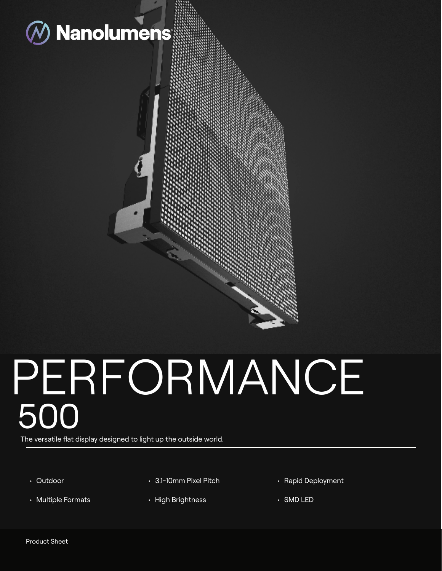

# PERFORMANCE 500

The versatile flat display designed to light up the outside world.

- Outdoor
- Multiple Formats
- 3.1-10mm Pixel Pitch
- High Brightness
- Rapid Deployment
- SMD LED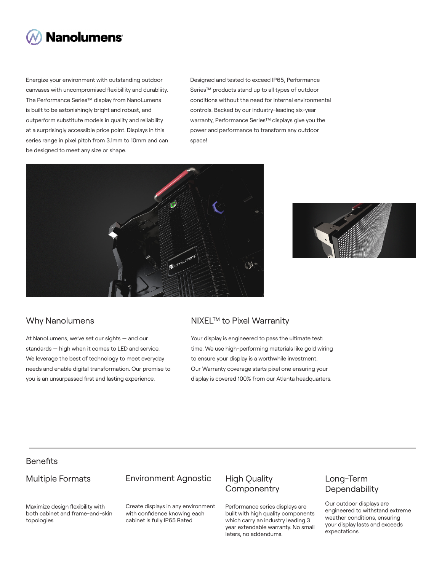

Energize your environment with outstanding outdoor canvases with uncompromised flexibillity and durabliity. The Performance Series™ display from NanoLumens is built to be astonishingly bright and robust, and outperform substitute models in quality and reliability at a surprisingly accessible price point. Displays in this series range in pixel pitch from 3.1mm to 10mm and can be designed to meet any size or shape.

Designed and tested to exceed IP65, Performance Series™ products stand up to all types of outdoor conditions without the need for internal environmental controls. Backed by our industry-leading six-year warranty, Performance Series™ displays give you the power and performance to transform any outdoor space!





At NanoLumens, we've set our sights — and our standards — high when it comes to LED and service. We leverage the best of technology to meet everyday needs and enable digital transformation. Our promise to you is an unsurpassed first and lasting experience.

### Why Nanolumens NIXEL™ to Pixel Warranity

Your display is engineered to pass the ultimate test: time. We use high-performing materials like gold wiring to ensure your display is a worthwhile investment. Our Warranty coverage starts pixel one ensuring your display is covered 100% from our Atlanta headquarters.

# **Benefits**

### Multiple Formats

### Environment Agnostic

Maximize design flexibility with both cabinet and frame-and-skin topologies

Create displays in any environment with confidence knowing each cabinet is fully IP65 Rated

# High Quality **Componentry**

Performance series displays are built with high quality components which carry an industry leading 3 year extendable warranty. No small leters, no addendums.

# Long-Term **Dependability**

Our outdoor displays are engineered to withstand extreme weather conditions, ensuring your display lasts and exceeds expectations.